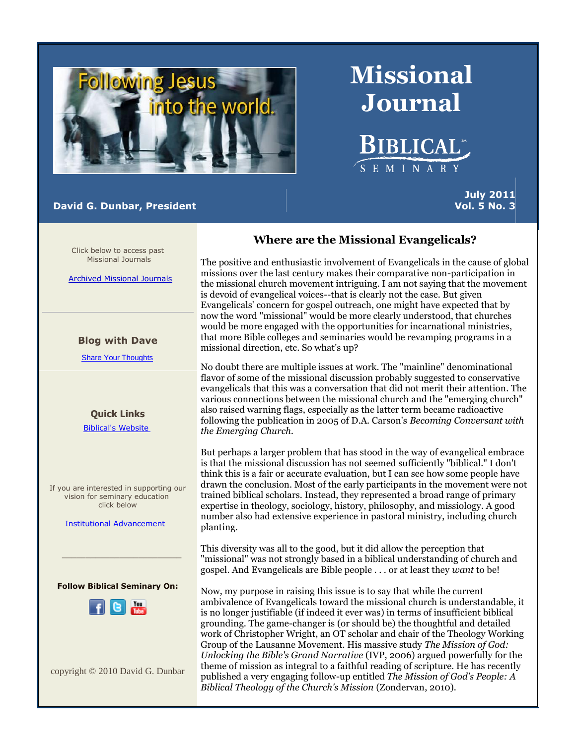

# **David G. Dunbar, President**

**July 2011 Vol. 5 No. 3**

Click below to access past Missional Journals

[Archived Missional Journals](http://rs6.net/tn.jsp?et=1102921068149&s=0&e=001ft3-JrYJytuKOMg5OzqeBQhwmSJ4IfEpM2wEYJIn_I1SuohOMsrquzTvXonIT4mUWobRUyJiU2KPQvrr1pS5weX3NRP_CoepEi2OrppCDsUas-rJIdDKrl25REynnC4WiQobGVHZKxYUftQK-TxrWL9zD5czo3pT-I2iX8qpxVg=)

### **Blog with Dave**

[Share Your Thoughts](http://rs6.net/tn.jsp?et=1102921068149&s=0&e=001ft3-JrYJytuKOMg5OzqeBQhwmSJ4IfEpM2wEYJIn_I1SuohOMsrquzTvXonIT4mUR-9-2sH9aPIKGQGI_YRjiCYZn0qACEZcGmJHyDKhRFrdnKzVbKdlxviAxu_m-ji7jePD-lOH1Hg=)

**Quick Links** [Biblical's Website](http://rs6.net/tn.jsp?et=1102921068149&s=0&e=001ft3-JrYJytuKOMg5OzqeBQhwmSJ4IfEpM2wEYJIn_I1SuohOMsrquzTvXonIT4mUWobRUyJiU2KPQvrr1pS5we-Mmi-trt--wyhD8etSivtdbuD7WwPxFw==)

If you are interested in supporting our vision for seminary education click below

[Institutional Advancement](http://rs6.net/tn.jsp?et=1102921068149&s=0&e=001ft3-JrYJytuKOMg5OzqeBQhwmSJ4IfEpM2wEYJIn_I1SuohOMsrquzTvXonIT4mUWobRUyJiU2KPQvrr1pS5wb2QLcuVxGk-v007lq1OgOCYN4JJ0CbTtMe3v2FY7GDLBzQxTGOP6FmCUeahApFoUg==)

**Follow Biblical Seminary On:**

 $\mathcal{L}_\text{max}$  , and the set of the set of the set of the set of the set of the set of the set of the set of the set of the set of the set of the set of the set of the set of the set of the set of the set of the set of the



copyright © 2010 David G. Dunbar

# **Where are the Missional Evangelicals?**

**Missional**

**Journal**

**BIBLICAL**\*

SEMINARY

The positive and enthusiastic involvement of Evangelicals in the cause of global missions over the last century makes their comparative non-participation in the missional church movement intriguing. I am not saying that the movement is devoid of evangelical voices--that is clearly not the case. But given Evangelicals' concern for gospel outreach, one might have expected that by now the word "missional" would be more clearly understood, that churches would be more engaged with the opportunities for incarnational ministries, that more Bible colleges and seminaries would be revamping programs in a missional direction, etc. So what's up?

No doubt there are multiple issues at work. The "mainline" denominational flavor of some of the missional discussion probably suggested to conservative evangelicals that this was a conversation that did not merit their attention. The various connections between the missional church and the "emerging church" also raised warning flags, especially as the latter term became radioactive following the publication in 2005 of D.A. Carson's *Becoming Conversant with the Emerging Church.*

But perhaps a larger problem that has stood in the way of evangelical embrace is that the missional discussion has not seemed sufficiently "biblical." I don't think this is a fair or accurate evaluation, but I can see how some people have drawn the conclusion. Most of the early participants in the movement were not trained biblical scholars. Instead, they represented a broad range of primary expertise in theology, sociology, history, philosophy, and missiology. A good number also had extensive experience in pastoral ministry, including church planting.

This diversity was all to the good, but it did allow the perception that "missional" was not strongly based in a biblical understanding of church and gospel. And Evangelicals are Bible people . . . or at least they *want* to be!

Now, my purpose in raising this issue is to say that while the current ambivalence of Evangelicals toward the missional church is understandable, it is no longer justifiable (if indeed it ever was) in terms of insufficient biblical grounding. The game-changer is (or should be) the thoughtful and detailed work of Christopher Wright, an OT scholar and chair of the Theology Working Group of the Lausanne Movement. His massive study *The Mission of God: Unlocking the Bible's Grand Narrative* (IVP, 2006) argued powerfully for the theme of mission as integral to a faithful reading of scripture. He has recently published a very engaging follow-up entitled *The Mission of God's People: A Biblical Theology of the Church's Mission* (Zondervan, 2010).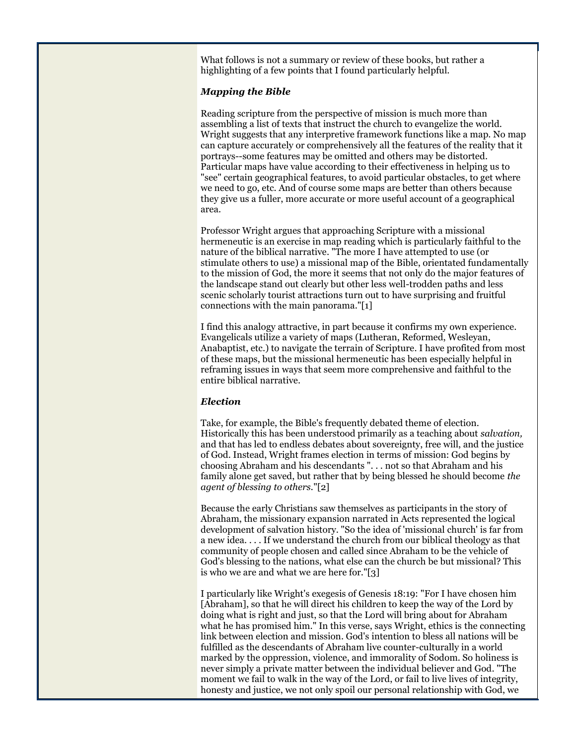What follows is not a summary or review of these books, but rather a highlighting of a few points that I found particularly helpful.

## *Mapping the Bible*

Reading scripture from the perspective of mission is much more than assembling a list of texts that instruct the church to evangelize the world. Wright suggests that any interpretive framework functions like a map. No map can capture accurately or comprehensively all the features of the reality that it portrays--some features may be omitted and others may be distorted. Particular maps have value according to their effectiveness in helping us to "see" certain geographical features, to avoid particular obstacles, to get where we need to go, etc. And of course some maps are better than others because they give us a fuller, more accurate or more useful account of a geographical area.

Professor Wright argues that approaching Scripture with a missional hermeneutic is an exercise in map reading which is particularly faithful to the nature of the biblical narrative. "The more I have attempted to use (or stimulate others to use) a missional map of the Bible, orientated fundamentally to the mission of God, the more it seems that not only do the major features of the landscape stand out clearly but other less well-trodden paths and less scenic scholarly tourist attractions turn out to have surprising and fruitful connections with the main panorama."[1]

I find this analogy attractive, in part because it confirms my own experience. Evangelicals utilize a variety of maps (Lutheran, Reformed, Wesleyan, Anabaptist, etc.) to navigate the terrain of Scripture. I have profited from most of these maps, but the missional hermeneutic has been especially helpful in reframing issues in ways that seem more comprehensive and faithful to the entire biblical narrative.

#### *Election*

Take, for example, the Bible's frequently debated theme of election. Historically this has been understood primarily as a teaching about *salvation,*  and that has led to endless debates about sovereignty, free will, and the justice of God. Instead, Wright frames election in terms of mission: God begins by choosing Abraham and his descendants ". . . not so that Abraham and his family alone get saved, but rather that by being blessed he should become *the agent of blessing to others.*"[2]

Because the early Christians saw themselves as participants in the story of Abraham, the missionary expansion narrated in Acts represented the logical development of salvation history. "So the idea of 'missional church' is far from a new idea. . . . If we understand the church from our biblical theology as that community of people chosen and called since Abraham to be the vehicle of God's blessing to the nations, what else can the church be but missional? This is who we are and what we are here for."[3]

I particularly like Wright's exegesis of Genesis 18:19: "For I have chosen him [Abraham], so that he will direct his children to keep the way of the Lord by doing what is right and just, so that the Lord will bring about for Abraham what he has promised him." In this verse, says Wright, ethics is the connecting link between election and mission. God's intention to bless all nations will be fulfilled as the descendants of Abraham live counter-culturally in a world marked by the oppression, violence, and immorality of Sodom. So holiness is never simply a private matter between the individual believer and God. "The moment we fail to walk in the way of the Lord, or fail to live lives of integrity, honesty and justice, we not only spoil our personal relationship with God, we